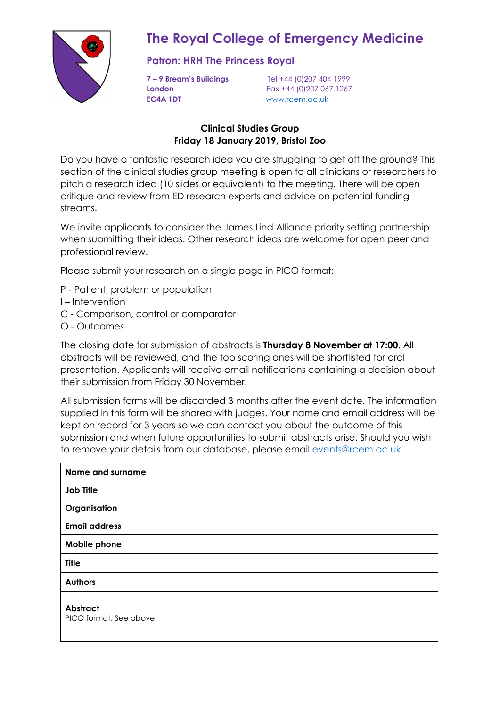

# **The Royal College of Emergency Medicine**

### **Patron: HRH The Princess Royal**

**EC4A 1DT** [www.rcem.ac.uk](http://www.rcem.ac.uk/)

**7 – 9 Bream's Buildings** Tel +44 (0)207 404 1999 **London Fax +44 (0)207 067 1267** 

#### **Clinical Studies Group Friday 18 January 2019, Bristol Zoo**

Do you have a fantastic research idea you are struggling to get off the ground? This section of the clinical studies group meeting is open to all clinicians or researchers to pitch a research idea (10 slides or equivalent) to the meeting. There will be open critique and review from ED research experts and advice on potential funding streams.

We invite applicants to consider the James Lind Alliance priority setting partnership when submitting their ideas. Other research ideas are welcome for open peer and professional review.

Please submit your research on a single page in PICO format:

- P Patient, problem or population
- I Intervention
- C Comparison, control or comparator
- O Outcomes

The closing date for submission of abstracts is **Thursday 8 November at 17:00**. All abstracts will be reviewed, and the top scoring ones will be shortlisted for oral presentation. Applicants will receive email notifications containing a decision about their submission from Friday 30 November.

All submission forms will be discarded 3 months after the event date. The information supplied in this form will be shared with judges. Your name and email address will be kept on record for 3 years so we can contact you about the outcome of this submission and when future opportunities to submit abstracts arise. Should you wish to remove your details from our database, please email [events@rcem.ac.uk](mailto:events@rcem.ac.uk)

| <b>Name and surname</b>                   |  |
|-------------------------------------------|--|
| <b>Job Title</b>                          |  |
| Organisation                              |  |
| <b>Email address</b>                      |  |
| Mobile phone                              |  |
| <b>Title</b>                              |  |
| <b>Authors</b>                            |  |
| <b>Abstract</b><br>PICO format: See above |  |